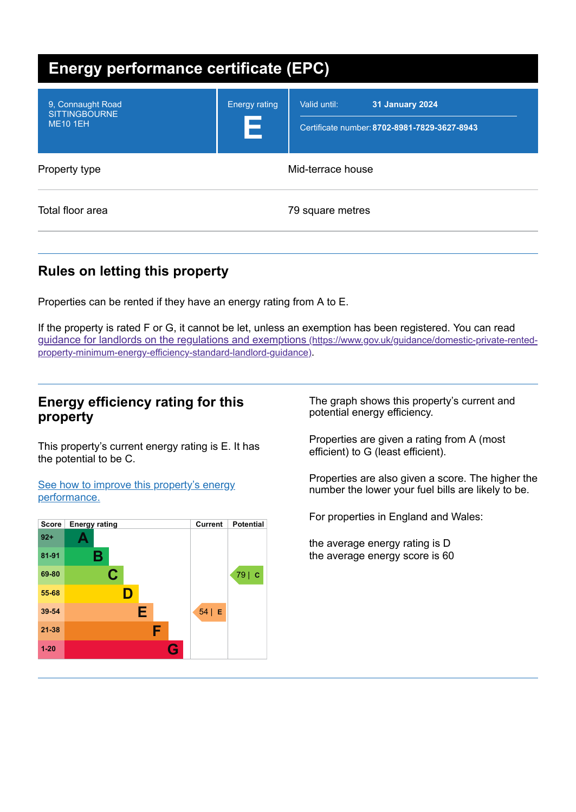| <b>Energy performance certificate (EPC)</b>                  |                           |                                                                                        |  |
|--------------------------------------------------------------|---------------------------|----------------------------------------------------------------------------------------|--|
| 9, Connaught Road<br><b>SITTINGBOURNE</b><br><b>ME10 1EH</b> | <b>Energy rating</b><br>E | Valid until:<br><b>31 January 2024</b><br>Certificate number: 8702-8981-7829-3627-8943 |  |
| Property type                                                |                           | Mid-terrace house                                                                      |  |
| Total floor area                                             |                           | 79 square metres                                                                       |  |

# **Rules on letting this property**

Properties can be rented if they have an energy rating from A to E.

If the property is rated F or G, it cannot be let, unless an exemption has been registered. You can read guidance for landlords on the regulations and exemptions (https://www.gov.uk/guidance/domestic-private-rented[property-minimum-energy-efficiency-standard-landlord-guidance\)](https://www.gov.uk/guidance/domestic-private-rented-property-minimum-energy-efficiency-standard-landlord-guidance).

#### **Energy efficiency rating for this property**

This property's current energy rating is E. It has the potential to be C.

See how to improve this property's energy [performance.](#page-2-0)



The graph shows this property's current and potential energy efficiency.

Properties are given a rating from A (most efficient) to G (least efficient).

Properties are also given a score. The higher the number the lower your fuel bills are likely to be.

For properties in England and Wales:

the average energy rating is D the average energy score is 60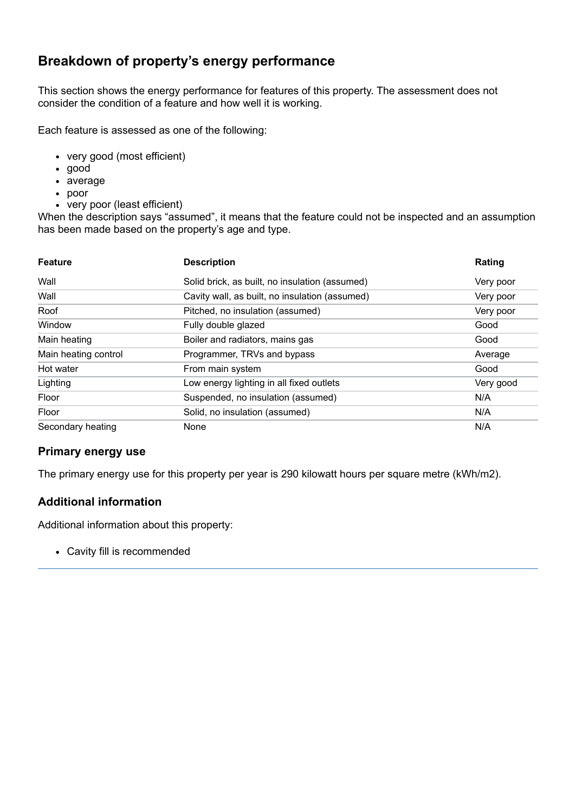## **Breakdown of property's energy performance**

This section shows the energy performance for features of this property. The assessment does not consider the condition of a feature and how well it is working.

Each feature is assessed as one of the following:

- very good (most efficient)
- good
- average
- poor
- very poor (least efficient)

When the description says "assumed", it means that the feature could not be inspected and an assumption has been made based on the property's age and type.

| <b>Feature</b>       | <b>Description</b>                             | Rating    |
|----------------------|------------------------------------------------|-----------|
| Wall                 | Solid brick, as built, no insulation (assumed) | Very poor |
| Wall                 | Cavity wall, as built, no insulation (assumed) | Very poor |
| Roof                 | Pitched, no insulation (assumed)               | Very poor |
| Window               | Fully double glazed                            | Good      |
| Main heating         | Boiler and radiators, mains gas                | Good      |
| Main heating control | Programmer, TRVs and bypass                    | Average   |
| Hot water            | From main system                               | Good      |
| Lighting             | Low energy lighting in all fixed outlets       | Very good |
| Floor                | Suspended, no insulation (assumed)             | N/A       |
| Floor                | Solid, no insulation (assumed)                 | N/A       |
| Secondary heating    | None                                           | N/A       |

#### **Primary energy use**

The primary energy use for this property per year is 290 kilowatt hours per square metre (kWh/m2).

#### **Additional information**

Additional information about this property:

Cavity fill is recommended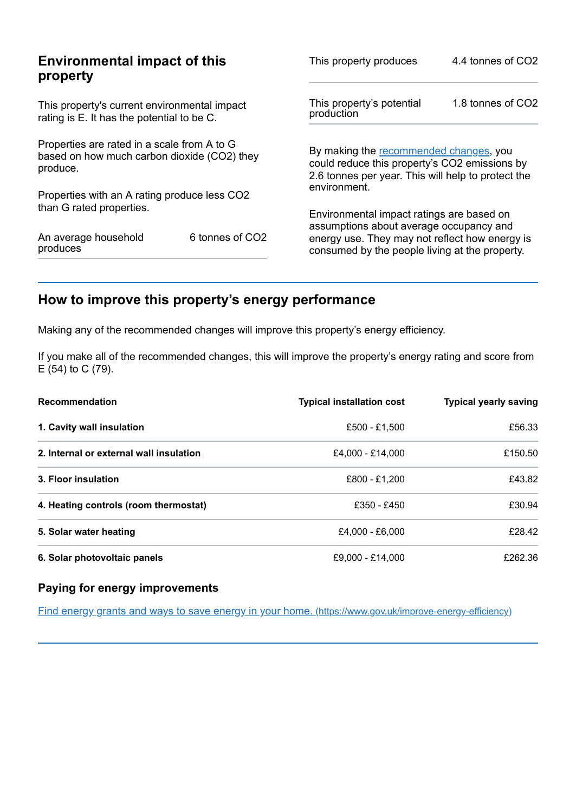| <b>Environmental impact of this</b><br>property                                                        |                 | This property produces                                                                                                                                        | 4.4 tonnes of CO2 |
|--------------------------------------------------------------------------------------------------------|-----------------|---------------------------------------------------------------------------------------------------------------------------------------------------------------|-------------------|
| This property's current environmental impact<br>rating is E. It has the potential to be C.             |                 | This property's potential<br>production                                                                                                                       | 1.8 tonnes of CO2 |
| Properties are rated in a scale from A to G<br>based on how much carbon dioxide (CO2) they<br>produce. |                 | By making the recommended changes, you<br>could reduce this property's CO2 emissions by<br>2.6 tonnes per year. This will help to protect the<br>environment. |                   |
| Properties with an A rating produce less CO2                                                           |                 |                                                                                                                                                               |                   |
| than G rated properties.                                                                               |                 | Environmental impact ratings are based on<br>assumptions about average occupancy and                                                                          |                   |
| An average household<br>produces                                                                       | 6 tonnes of CO2 | energy use. They may not reflect how energy is<br>consumed by the people living at the property.                                                              |                   |

# <span id="page-2-0"></span>**How to improve this property's energy performance**

Making any of the recommended changes will improve this property's energy efficiency.

If you make all of the recommended changes, this will improve the property's energy rating and score from E (54) to C (79).

| <b>Recommendation</b>                   | <b>Typical installation cost</b> | <b>Typical yearly saving</b> |
|-----------------------------------------|----------------------------------|------------------------------|
| 1. Cavity wall insulation               | £500 - £1.500                    | £56.33                       |
| 2. Internal or external wall insulation | £4,000 - £14,000                 | £150.50                      |
| 3. Floor insulation                     | £800 - £1,200                    | £43.82                       |
| 4. Heating controls (room thermostat)   | £350 - £450                      | £30.94                       |
| 5. Solar water heating                  | £4,000 - £6,000                  | £28.42                       |
| 6. Solar photovoltaic panels            | £9.000 - £14.000                 | £262.36                      |

#### **Paying for energy improvements**

Find energy grants and ways to save energy in your home. [\(https://www.gov.uk/improve-energy-efficiency\)](https://www.gov.uk/improve-energy-efficiency)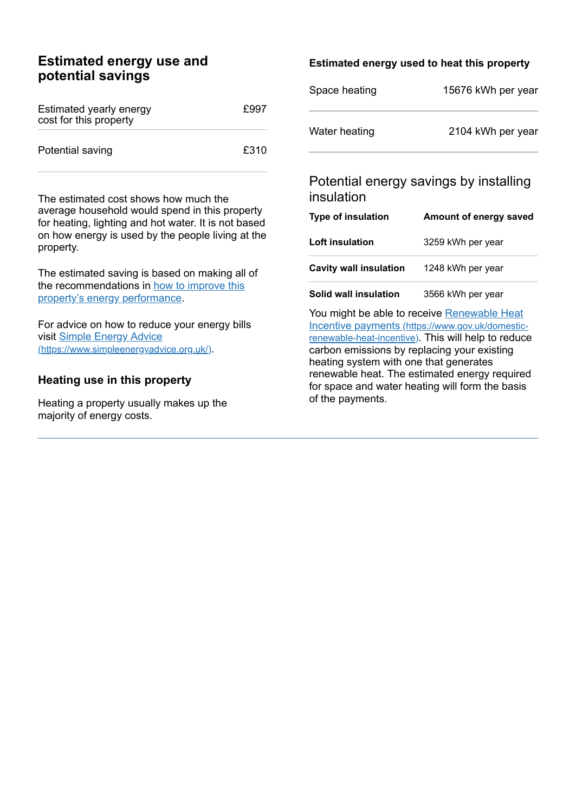#### **Estimated energy use and potential savings**

| Estimated yearly energy<br>cost for this property | £997 |
|---------------------------------------------------|------|
| Potential saving                                  | £310 |

The estimated cost shows how much the average household would spend in this property for heating, lighting and hot water. It is not based on how energy is used by the people living at the property.

The estimated saving is based on making all of the [recommendations](#page-2-0) in how to improve this property's energy performance.

For advice on how to reduce your energy bills visit Simple Energy Advice [\(https://www.simpleenergyadvice.org.uk/\)](https://www.simpleenergyadvice.org.uk/).

#### **Heating use in this property**

Heating a property usually makes up the majority of energy costs.

#### **Estimated energy used to heat this property**

| Space heating | 15676 kWh per year |
|---------------|--------------------|
| Water heating | 2104 kWh per year  |

#### Potential energy savings by installing insulation

| <b>Type of insulation</b>     | Amount of energy saved |
|-------------------------------|------------------------|
| Loft insulation               | 3259 kWh per year      |
| <b>Cavity wall insulation</b> | 1248 kWh per year      |
| Solid wall insulation         | 3566 kWh per year      |

You might be able to receive Renewable Heat Incentive payments [\(https://www.gov.uk/domestic](https://www.gov.uk/domestic-renewable-heat-incentive)renewable-heat-incentive). This will help to reduce carbon emissions by replacing your existing heating system with one that generates renewable heat. The estimated energy required for space and water heating will form the basis of the payments.